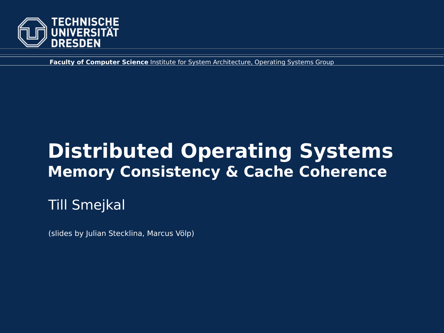

**Faculty of Computer Science** Institute for System Architecture, Operating Systems Group

# **Distributed Operating Systems Memory Consistency & Cache Coherence**

Till Smejkal

(slides by Julian Stecklina, Marcus Völp)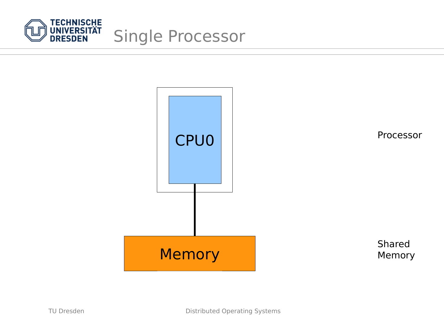

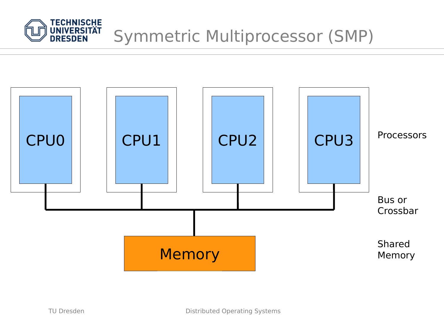

# Symmetric Multiprocessor (SMP)

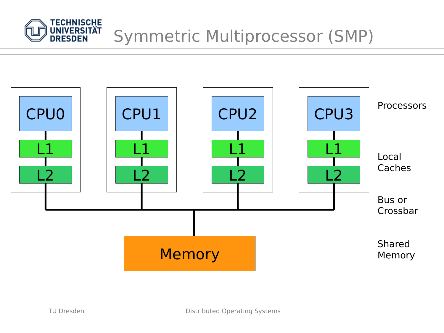

# Symmetric Multiprocessor (SMP)

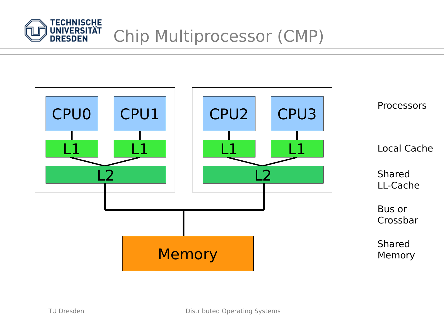

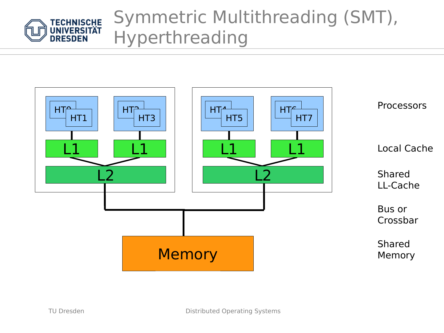

# Symmetric Multithreading (SMT), Hyperthreading

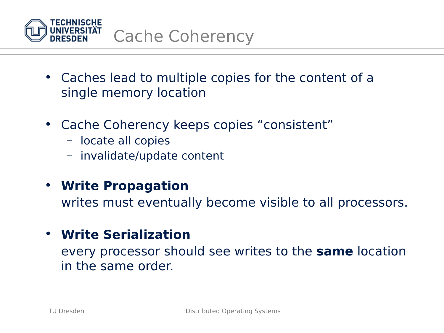

- Caches lead to multiple copies for the content of a single memory location
- Cache Coherency keeps copies "consistent"
	- locate all copies
	- invalidate/update content

#### • **Write Propagation**

writes must eventually become visible to all processors.

#### • **Write Serialization**

every processor should see writes to the **same** location in the same order.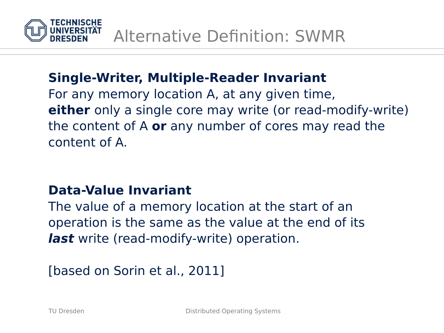

### **Single-Writer, Multiple-Reader Invariant**

For any memory location A, at any given time, **either** only a single core may write (or read-modify-write) the content of A **or** any number of cores may read the content of A.

#### **Data-Value Invariant**

The value of a memory location at the start of an operation is the same as the value at the end of its **last** write (read-modify-write) operation.

[based on Sorin et al., 2011]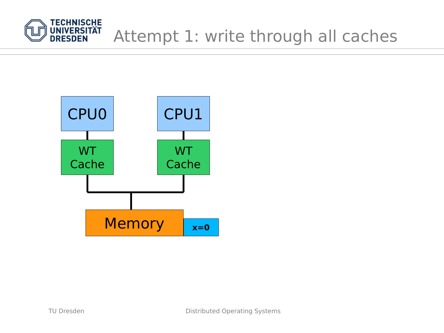

# Attempt 1: write through all caches

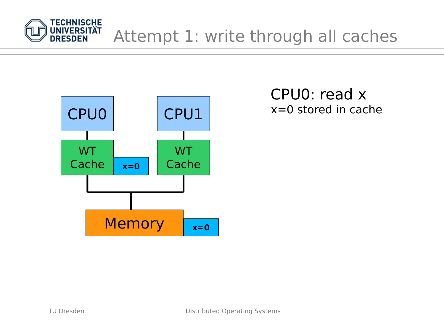

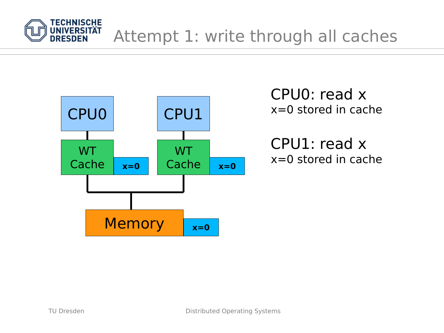



CPU1: read x x=0 stored in cache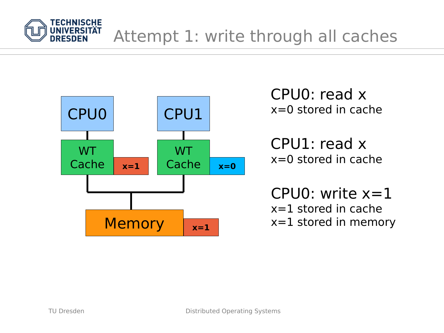



x=0 stored in cache

CPU1: read x x=0 stored in cache

CPU0: write  $x=1$ x=1 stored in cache x=1 stored in memory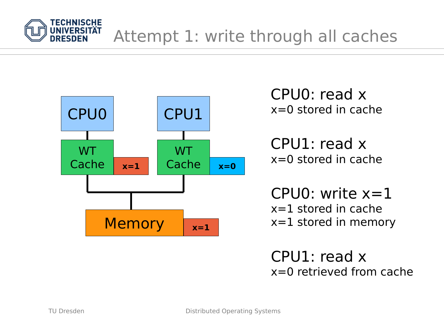



x=0 stored in cache

CPU1: read x x=0 stored in cache

CPU0: write  $x=1$ x=1 stored in cache x=1 stored in memory

CPU1: read x x=0 retrieved from cache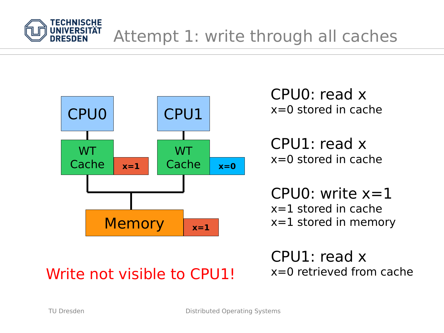



x=0 stored in cache

CPU1: read x x=0 stored in cache

CPU0: write  $x=1$ x=1 stored in cache x=1 stored in memory

# Write not visible to  $CPU1!$   $x=0$  retrieved from cache

CPU1: read x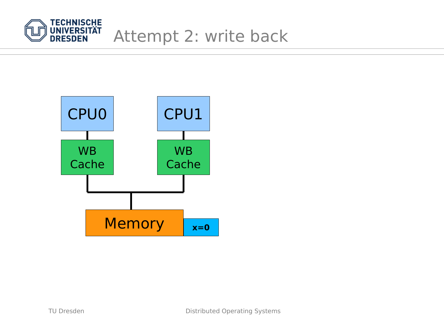

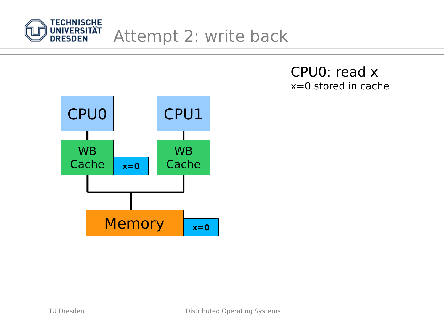

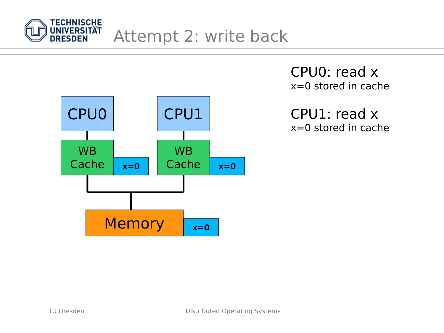



CPU1: read x x=0 stored in cache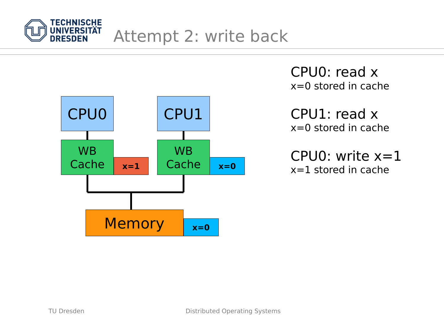



CPU1: read x x=0 stored in cache

CPU0: write  $x=1$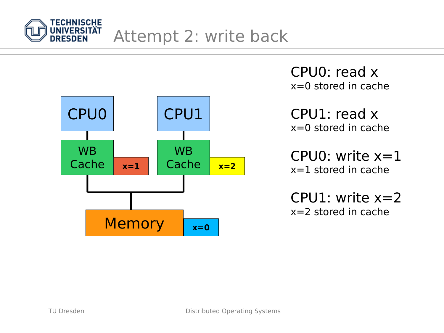



CPU1: read x x=0 stored in cache

CPU0: write  $x=1$ x=1 stored in cache

CPU1: write  $x=2$ x=2 stored in cache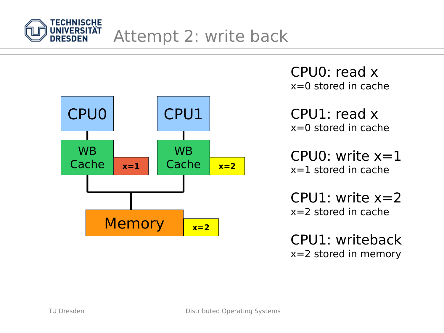



CPU1: read x x=0 stored in cache

CPU0: write  $x=1$ x=1 stored in cache

CPU1: write  $x=2$ x=2 stored in cache

CPU1: writeback x=2 stored in memory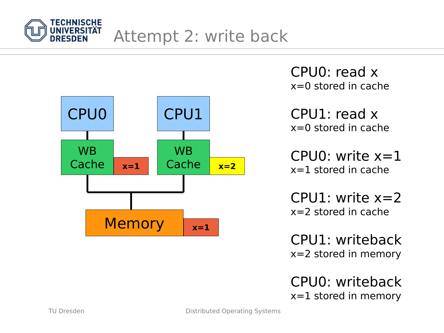



CPU1: read x x=0 stored in cache

CPU0: write  $x=1$ x=1 stored in cache

CPU1: write  $x=2$ x=2 stored in cache

CPU1: writeback x=2 stored in memory

CPU0: writeback x=1 stored in memory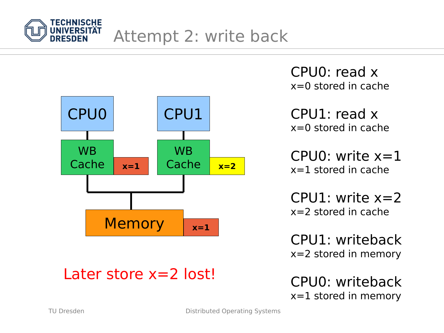



Later store x=2 lost!

CPU0: read x  $x=0$  stored in cache

CPU1: read x x=0 stored in cache

CPU0: write  $x=1$ x=1 stored in cache

 $CPI1:$  write  $x=2$ x=2 stored in cache

CPU1: writeback x=2 stored in memory

CPU0: writeback x=1 stored in memory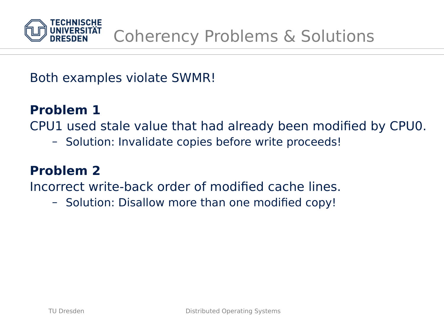

Both examples violate SWMR!

### **Problem 1**

CPU1 used stale value that had already been modified by CPU0.

– Solution: Invalidate copies before write proceeds!

### **Problem 2**

Incorrect write-back order of modified cache lines.

– Solution: Disallow more than one modified copy!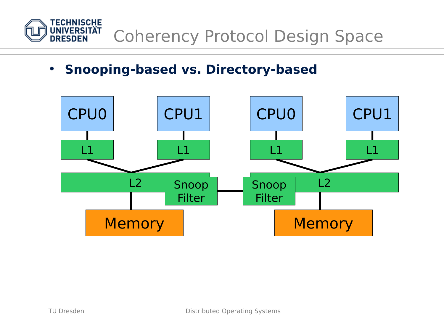

• **Snooping-based vs. Directory-based**

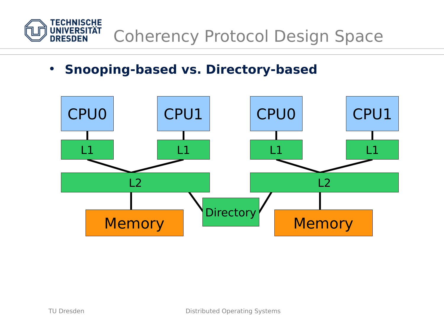

• **Snooping-based vs. Directory-based**

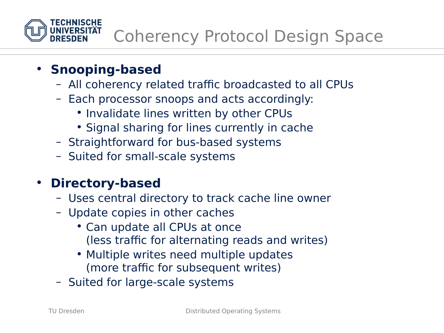

### • **Snooping-based**

- All coherency related traffic broadcasted to all CPUs
- Each processor snoops and acts accordingly:
	- Invalidate lines written by other CPUs
	- Signal sharing for lines currently in cache
- Straightforward for bus-based systems
- Suited for small-scale systems

### • **Directory-based**

- Uses central directory to track cache line owner
- Update copies in other caches
	- Can update all CPUs at once (less traffic for alternating reads and writes)
	- Multiple writes need multiple updates (more traffic for subsequent writes)
- Suited for large-scale systems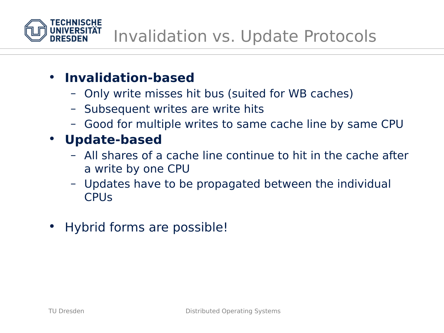

- **Invalidation-based**
	- Only write misses hit bus (suited for WB caches)
	- Subsequent writes are write hits
	- Good for multiple writes to same cache line by same CPU
- **Update-based**
	- All shares of a cache line continue to hit in the cache after a write by one CPU
	- Updates have to be propagated between the individual **CPU<sub>S</sub>**
- Hybrid forms are possible!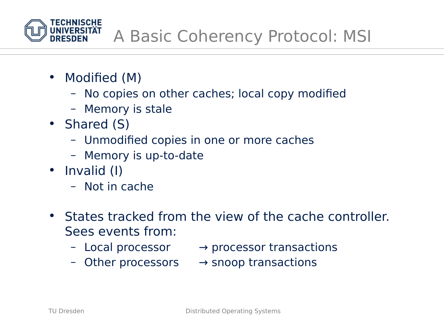

- Modified (M)
	- No copies on other caches; local copy modified
	- Memory is stale
- Shared (S)
	- Unmodified copies in one or more caches
	- Memory is up-to-date
- Invalid (I)
	- Not in cache
- States tracked from the view of the cache controller. Sees events from:
	-
	- $-$  Local processor  $\rightarrow$  processor transactions
	- Other processors → snoop transactions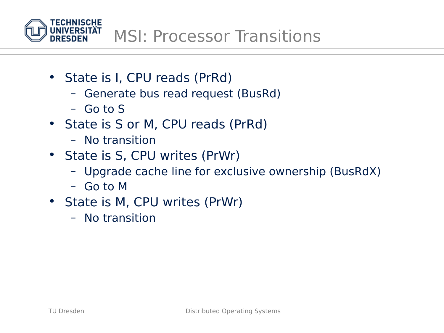

- State is I, CPU reads (PrRd)
	- Generate bus read request (BusRd)
	- Go to S
- State is S or M, CPU reads (PrRd)
	- No transition
- State is S, CPU writes (PrWr)
	- Upgrade cache line for exclusive ownership (BusRdX)
	- Go to M
- State is M, CPU writes (PrWr)
	- No transition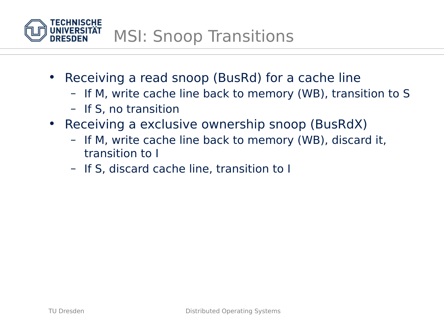

- Receiving a read snoop (BusRd) for a cache line
	- If M, write cache line back to memory (WB), transition to S
	- If S, no transition
- Receiving a exclusive ownership snoop (BusRdX)
	- If M, write cache line back to memory (WB), discard it, transition to I
	- If S, discard cache line, transition to I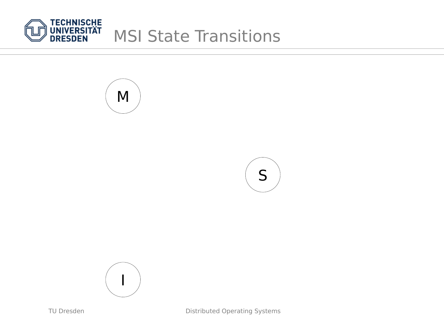







Distributed Operating Systems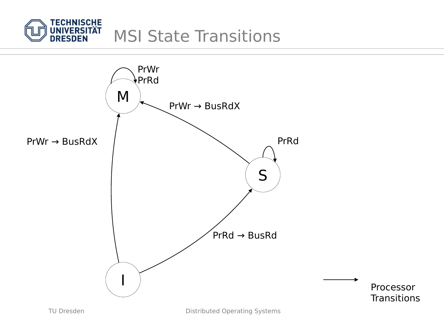

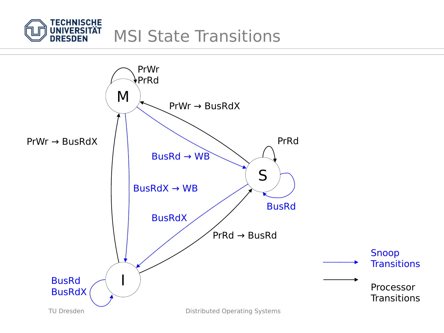

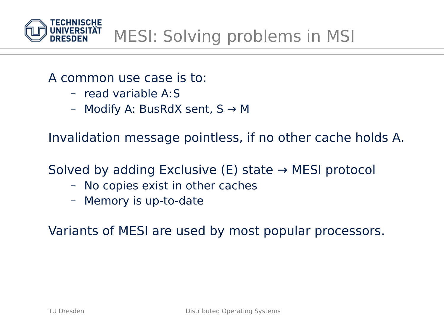

#### A common use case is to:

- read variable A:S
- Modify A: BusRdX sent,  $S \rightarrow M$

Invalidation message pointless, if no other cache holds A.

Solved by adding Exclusive (E) state  $\rightarrow$  MESI protocol

- No copies exist in other caches
- Memory is up-to-date

Variants of MESI are used by most popular processors.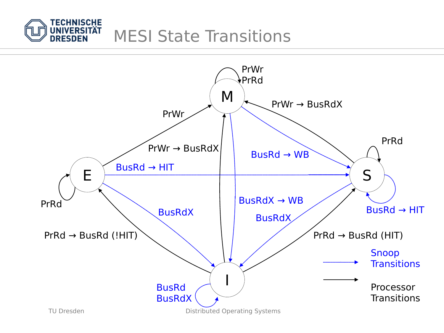

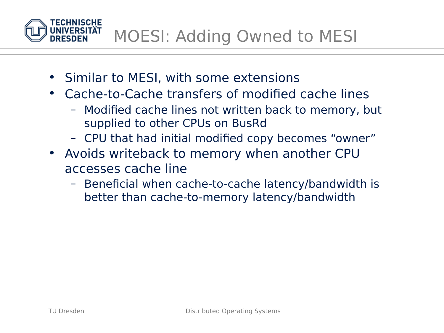MOESI: Adding Owned to MESI

- Similar to MESI, with some extensions
- Cache-to-Cache transfers of modified cache lines
	- Modified cache lines not written back to memory, but supplied to other CPUs on BusRd
	- CPU that had initial modified copy becomes "owner"
- Avoids writeback to memory when another CPU accesses cache line
	- Beneficial when cache-to-cache latency/bandwidth is better than cache-to-memory latency/bandwidth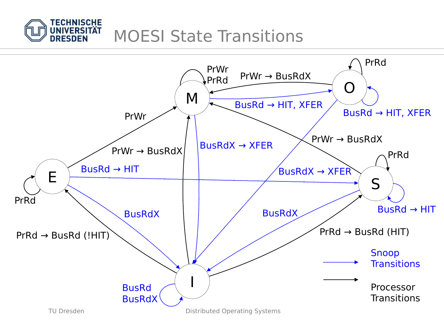

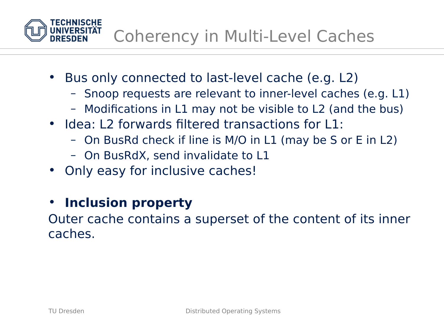

- Bus only connected to last-level cache (e.g. L2)
	- Snoop requests are relevant to inner-level caches (e.g. L1)
	- Modifications in L1 may not be visible to L2 (and the bus)
- Idea: L2 forwards filtered transactions for L1:
	- On BusRd check if line is M/O in L1 (may be S or E in L2)
	- On BusRdX, send invalidate to L1
- Only easy for inclusive caches!
- **Inclusion property**

Outer cache contains a superset of the content of its inner caches.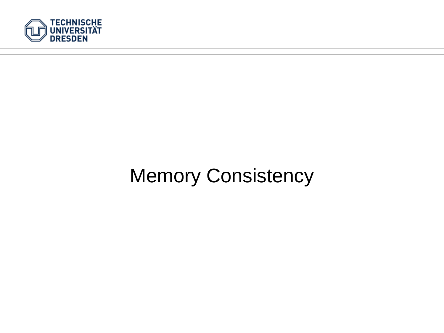

## Memory Consistency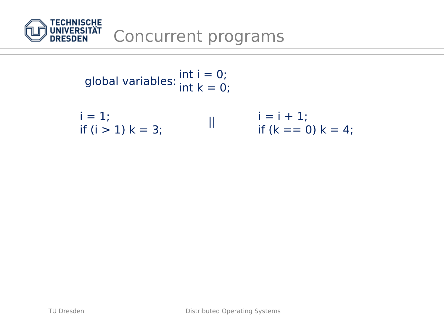

int  $i = 0$ ; global variables:  $\frac{m}{n} = 0$ ;

$$
i = 1;
$$
  
\n $i = i + 1;$   
\n $i = i + 1;$   
\n $if (i > 1) k = 3;$   
\n $if (k == 0) k = 4;$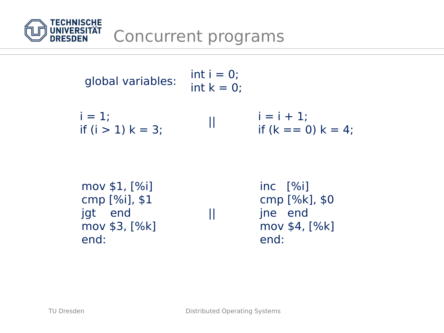

| global variables:                   | $111C_1 - C_2$<br>int $k = 0$ : |                                          |
|-------------------------------------|---------------------------------|------------------------------------------|
| $i = 1$ :<br>if $(i > 1)$ $k = 3$ ; |                                 | $i = i + 1$ ;<br>if $(k == 0)$ $k = 4$ : |

int  $i = 0$ ;

| mov $$1, [%i]$   |   | $inc$ $\sqrt{$ il |
|------------------|---|-------------------|
| cmp $[%i]$ , \$1 |   | cmp [%k], \$0     |
| jgt end          | Ш | jne end           |
| mov $$3, [%k]$   |   | mov \$4, [%k]     |
| end:             |   | end:              |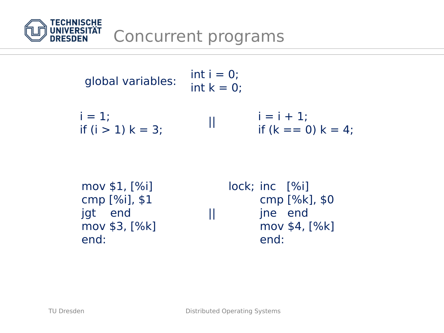

| global variables: | $int i = 0$ ;<br>int $k = 0$ ; |
|-------------------|--------------------------------|
|                   |                                |

 $i = 1;$ if  $(i > 1)$   $k = 3$ ;  $i = i + 1;$  $\begin{array}{lll} || & | & = 1 + 1; \\ & \text{if } (k == 0) \; k = 4; \end{array}$ 

| mov $$1, [%i]$ |   | $lock; inc$ $[\%i]$ |         |                  |
|----------------|---|---------------------|---------|------------------|
| cmp [%i], \$1  |   |                     |         | cmp $[%k]$ , \$0 |
| jgt end        | Ш |                     | ine end |                  |
| mov $$3, [%k]$ |   |                     |         | mov \$4, [%k]    |
| end:           |   |                     | end:    |                  |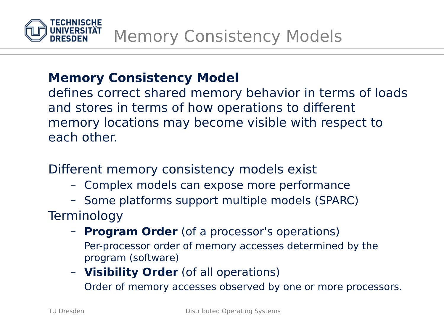

### **Memory Consistency Model**

defines correct shared memory behavior in terms of loads and stores in terms of how operations to different memory locations may become visible with respect to each other.

Different memory consistency models exist

- Complex models can expose more performance
- Some platforms support multiple models (SPARC) **Terminology** 
	- **Program Order** (of a processor's operations) Per-processor order of memory accesses determined by the program (software)
	- **Visibility Order** (of all operations) Order of memory accesses observed by one or more processors.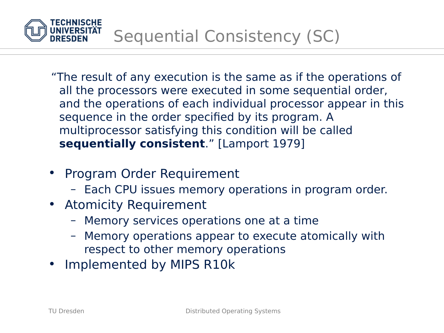

"The result of any execution is the same as if the operations of all the processors were executed in some sequential order, and the operations of each individual processor appear in this sequence in the order specified by its program. A multiprocessor satisfying this condition will be called **sequentially consistent**." [Lamport 1979]

- Program Order Requirement
	- Each CPU issues memory operations in program order.
- Atomicity Requirement
	- Memory services operations one at a time
	- Memory operations appear to execute atomically with respect to other memory operations
- Implemented by MIPS R10k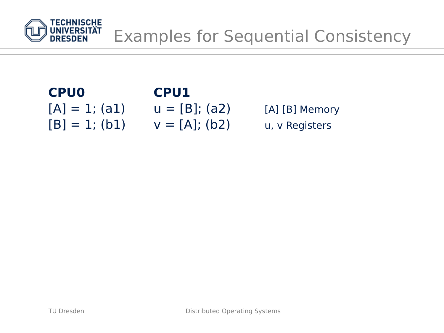

# **CPU0 CPU1**

# $[A] = 1; (a1)$   $u = [B]; (a2)$  [A] [B] Memory

 $[B] = 1; (b1)$   $V = [A]; (b2)$  u, v Registers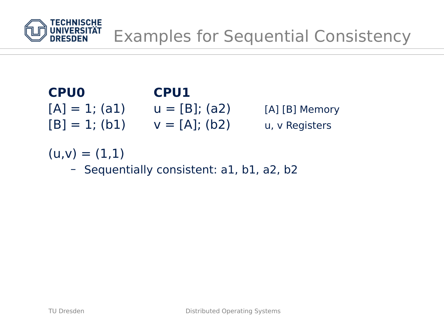

## **CPU0 CPU1**  $[A] = 1; (a1)$   $u = [B]; (a2)$  [A] [B] Memory  $[B] = 1; (b1)$   $V = [A]; (b2)$  u, v Registers

 $(u,v) = (1,1)$ 

– Sequentially consistent: a1, b1, a2, b2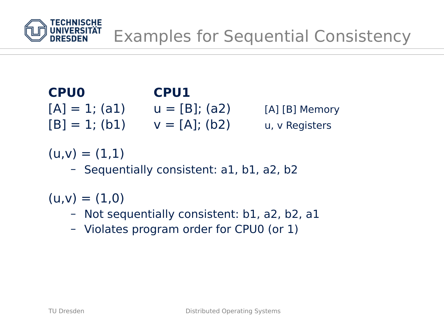

## **CPU0 CPU1**  $[A] = 1; (a1)$   $u = [B]; (a2)$  [A] [B] Memory  $[B] = 1$ ; (b1)  $v = [A]$ ; (b2) u, v Registers

 $(u,v) = (1,1)$ 

– Sequentially consistent: a1, b1, a2, b2

 $(u,v) = (1,0)$ 

- Not sequentially consistent: b1, a2, b2, a1
- Violates program order for CPU0 (or 1)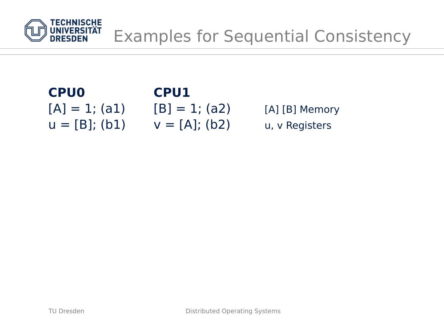

# **CPU0 CPU1**  $u = [B]$ ; (b1)  $v = [A]$ ; (b2) u, v Registers

 $[A] = 1; (a1)$   $[B] = 1; (a2)$   $[A] [B]$  Memory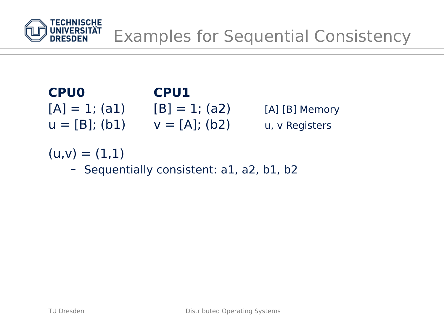

## **CPU0 CPU1**  $[A] = 1; (a1)$   $[B] = 1; (a2)$   $[A] [B]$  Memory  $u = [B]$ ; (b1)  $v = [A]$ ; (b2) u, v Registers

 $(u,v) = (1,1)$ 

– Sequentially consistent: a1, a2, b1, b2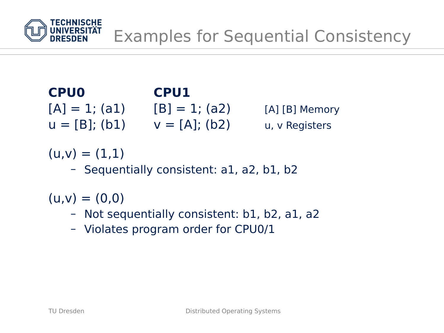

## **CPU0 CPU1**  $[A] = 1; (a1)$   $[B] = 1; (a2)$   $[A] [B]$  Memory  $u = [B]$ ; (b1)  $v = [A]$ ; (b2) u, v Registers

 $(u,v) = (1,1)$ 

– Sequentially consistent: a1, a2, b1, b2

 $(u,v) = (0,0)$ 

- Not sequentially consistent: b1, b2, a1, a2
- Violates program order for CPU0/1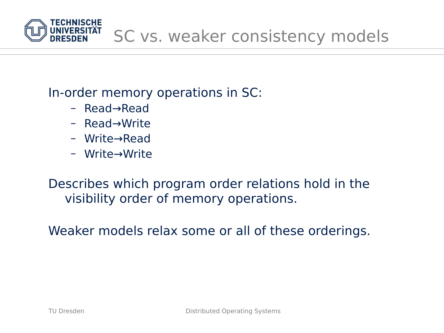

### In-order memory operations in SC:

- Read→Read
- Read→Write
- Write→Read
- Write→Write

Describes which program order relations hold in the visibility order of memory operations.

Weaker models relax some or all of these orderings.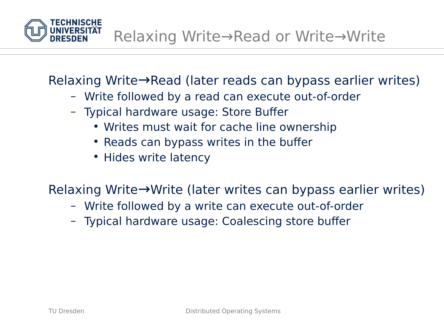

Relaxing Write→Read (later reads can bypass earlier writes)

- Write followed by a read can execute out-of-order
- Typical hardware usage: Store Buffer
	- Writes must wait for cache line ownership
	- Reads can bypass writes in the buffer
	- Hides write latency

Relaxing Write→Write (later writes can bypass earlier writes)

- Write followed by a write can execute out-of-order
- Typical hardware usage: Coalescing store buffer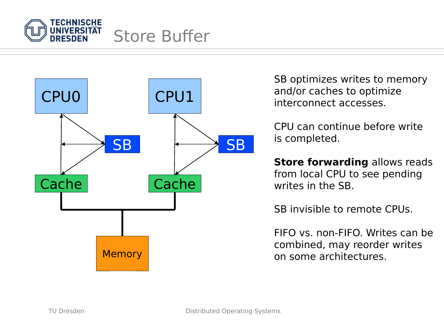



SB optimizes writes to memory and/or caches to optimize interconnect accesses.

CPU can continue before write is completed.

**Store forwarding** allows reads from local CPU to see pending writes in the SB.

SB invisible to remote CPUs.

FIFO vs. non-FIFO. Writes can be combined, may reorder writes on some architectures.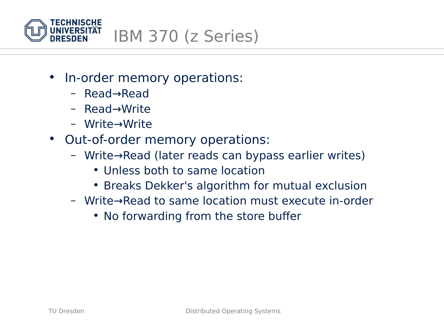

- In-order memory operations:
	- Read→Read
	- Read→Write
	- Write→Write
- Out-of-order memory operations:
	- Write→Read (later reads can bypass earlier writes)
		- Unless both to same location
		- Breaks Dekker's algorithm for mutual exclusion
	- Write→Read to same location must execute in-order
		- No forwarding from the store buffer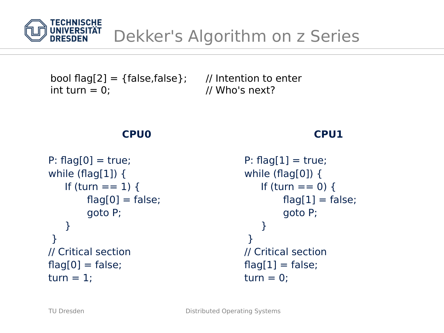

## Dekker's Algorithm on z Series

bool flag[2] = {false, false}; // Intention to enter  $int turn = 0;$  // Who's next?

#### **CPU0**

```
P: flag[0] = true;
while (flag[1]) {
   If (turn == 1) {
        flag[0] = false;goto P;
    }
 }
// Critical section
flag[0] = false;turn = 1;
```

```
P: flag[1] = true;while (flag[0]) {
   If (turn == 0) {
        flag[1] = false;goto P;
    }
 }
// Critical section
flag[1] = false;turn = 0;
```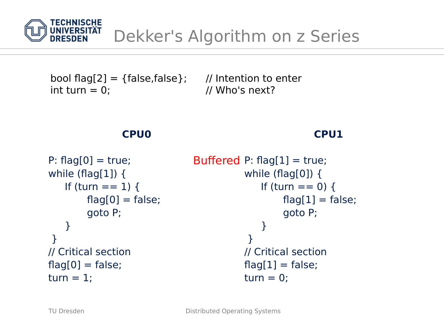

bool flag[2] = {false, false}; // Intention to enter  $int turn = 0;$  // Who's next?

#### **CPU0**

```
P: flag[0] = true;
while (flag[1]) {
   If (turn == 1) {
        flag[0] = false;goto P;
    }
 }
// Critical section
flag[0] = false;turn = 1;
                                Buffered P: flag[1] = true;
                                           while (flag[0]) {
                                              If (turn == 0) {
                                                   flag[1] = false;goto P;
                                               }
                                            }
                                           // Critical section
                                           flag[1] = false;turn = 0;
```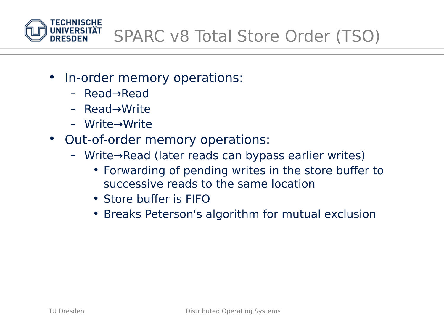

- In-order memory operations:
	- Read→Read
	- Read→Write
	- Write→Write
- Out-of-order memory operations:
	- Write→Read (later reads can bypass earlier writes)
		- Forwarding of pending writes in the store buffer to successive reads to the same location
		- Store buffer is FIFO
		- Breaks Peterson's algorithm for mutual exclusion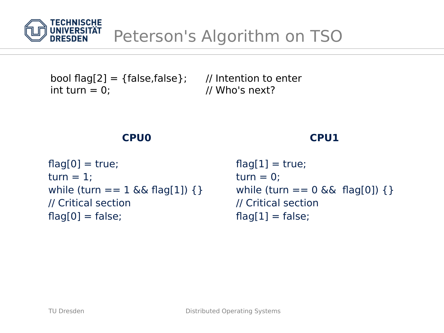

bool flag[2] = {false, false}; // Intention to enter  $int turn = 0;$  // Who's next?

#### **CPU0**

```
flag[0] = true;turn = 1;
while (turn == 1 && flag[1]) { }
// Critical section
flag[0] = false;
```

```
flag[1] = true;turn = 0;
while (turn == 0 && flag[0]) \{\}// Critical section
flag[1] = false;
```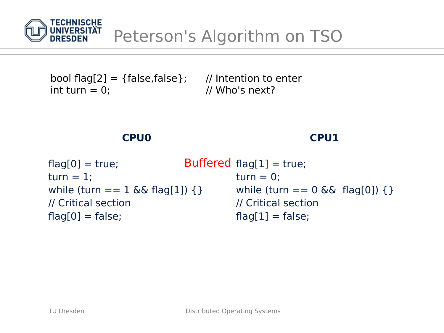

bool flag[2] = {false,false}; // Intention to enter  $int turn = 0;$  // Who's next?

#### **CPU0**

| $flag[0] = true;$                    | Buffered $flag[1] = true;$          |  |
|--------------------------------------|-------------------------------------|--|
| $turn = 1$ :                         | $turn = 0$ :                        |  |
| while (turn == $1 \& 6$ flag[1]) { } | while (turn == $0 < 0$ flag[0]) { } |  |
| // Critical section                  | // Critical section                 |  |
| $flag[0] = false;$                   | $flag[1] = false;$                  |  |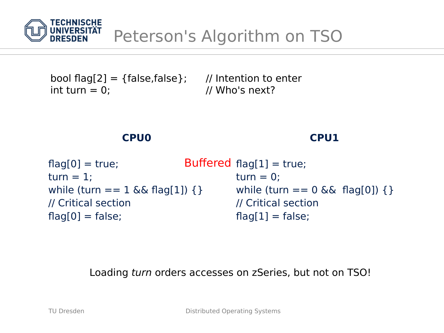

bool flag[2] = {false,false}; // Intention to enter  $int turn = 0;$  // Who's next?

#### **CPU0**

#### **CPU1**

| $flag[0] = true;$                    | Buffered $flag[1] = true;$          |  |
|--------------------------------------|-------------------------------------|--|
| $turn = 1$ ;                         | $turn = 0$ :                        |  |
| while (turn == $1 \& 6$ flag[1]) { } | while (turn == $0 < 0$ flag[0]) { } |  |
| // Critical section                  | // Critical section                 |  |
| $flag[0] = false;$                   | $flag[1] = false;$                  |  |

Loading turn orders accesses on zSeries, but not on TSO!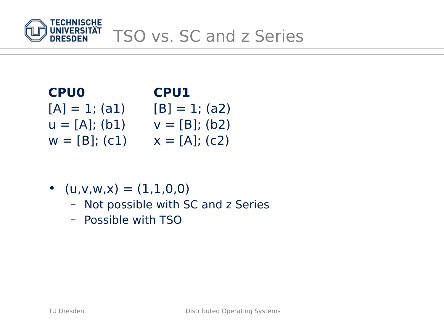

## **CPU0 CPU1**  $[A] = 1; (a1)$   $[B] = 1; (a2)$  $u = [A]; (b1)$   $v = [B]; (b2)$  $w = [B]; (c1)$   $x = [A]; (c2)$

• 
$$
(u,v,w,x) = (1,1,0,0)
$$

- Not possible with SC and z Series
- Possible with TSO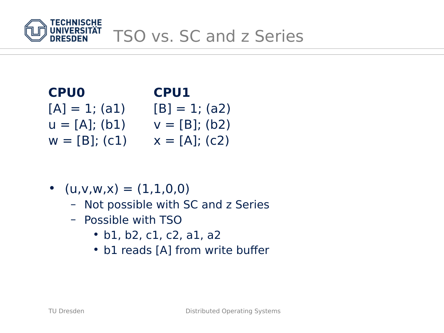

## **CPU0 CPU1**  $[A] = 1; (a1)$   $[B] = 1; (a2)$  $u = [A]; (b1)$   $v = [B]; (b2)$  $w = [B]; (c1)$   $x = [A]; (c2)$

• 
$$
(u,v,w,x) = (1,1,0,0)
$$

- Not possible with SC and z Series
- Possible with TSO
	- b1, b2, c1, c2, a1, a2
	- b1 reads [A] from write buffer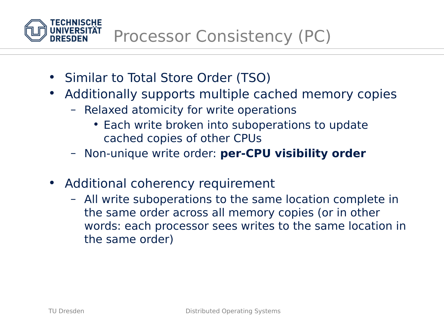

- Similar to Total Store Order (TSO)
- Additionally supports multiple cached memory copies
	- Relaxed atomicity for write operations
		- Each write broken into suboperations to update cached copies of other CPUs
	- Non-unique write order: **per-CPU visibility order**
- Additional coherency requirement
	- All write suboperations to the same location complete in the same order across all memory copies (or in other words: each processor sees writes to the same location in the same order)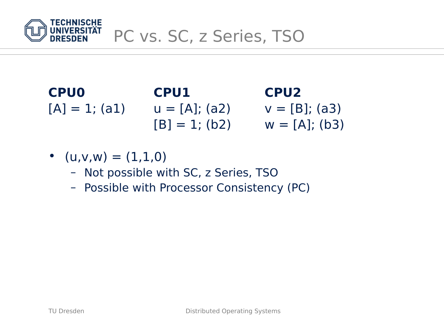

## **CPU0 CPU1 CPU2**  $[A] = 1; (a1)$   $u = [A]; (a2)$   $v = [B]; (a3)$  $[B] = 1$ ; (b2)  $w = [A]$ ; (b3)

- $(u,v,w) = (1,1,0)$ 
	- Not possible with SC, z Series, TSO
	- Possible with Processor Consistency (PC)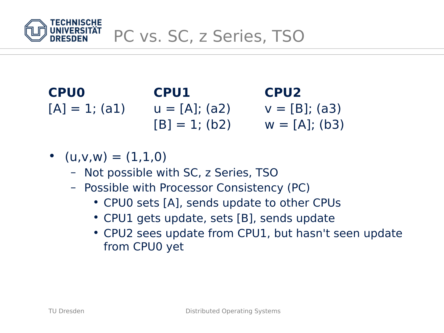

**CPU0 CPU1 CPU2**  $[A] = 1; (a1)$   $u = [A]; (a2)$   $v = [B]; (a3)$  $[B] = 1$ ; (b2)  $w = [A]$ ; (b3)

- $(u,v,w) = (1,1,0)$ 
	- Not possible with SC, z Series, TSO
	- Possible with Processor Consistency (PC)
		- CPU0 sets [A], sends update to other CPUs
		- CPU1 gets update, sets [B], sends update
		- CPU2 sees update from CPU1, but hasn't seen update from CPU0 yet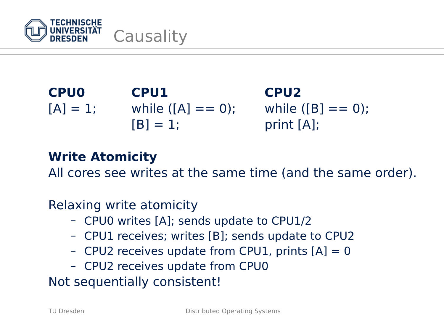

**CPU0 CPU1 CPU2**  $[A] = 1;$  while  $([A] == 0);$  while  $([B] == 0);$  $[B] = 1;$  print  $[A];$ 

## **Write Atomicity**

All cores see writes at the same time (and the same order).

Relaxing write atomicity

- CPU0 writes [A]; sends update to CPU1/2
- CPU1 receives; writes [B]; sends update to CPU2
- CPU2 receives update from CPU1, prints  $[A] = 0$
- CPU2 receives update from CPU0

Not sequentially consistent!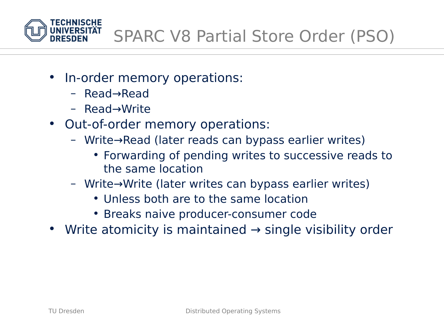

- In-order memory operations:
	- Read→Read
	- Read→Write
- Out-of-order memory operations:
	- Write→Read (later reads can bypass earlier writes)
		- Forwarding of pending writes to successive reads to the same location
	- Write→Write (later writes can bypass earlier writes)
		- Unless both are to the same location
		- Breaks naive producer-consumer code
- Write atomicity is maintained  $\rightarrow$  single visibility order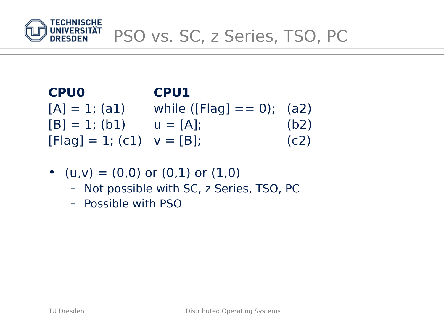

## **CPU0 CPU1**  $[A] = 1; (a1)$  while ([Flag] == 0); (a2)  $[B] = 1$ ; (b1)  $u = [A]$ ; (b2)  $[Flag] = 1; (c1) \quad V = [B];$  (c2)

- $(u,v) = (0,0)$  or  $(0,1)$  or  $(1,0)$ 
	- Not possible with SC, z Series, TSO, PC
	- Possible with PSO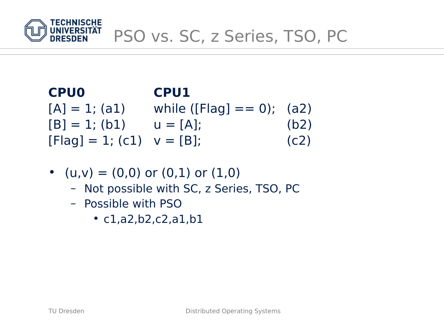

## **CPU0 CPU1**  $[A] = 1; (a1)$  while ([Flag] == 0); (a2)  $[B] = 1$ ; (b1)  $u = [A]$ ; (b2)  $[Flag] = 1; (c1) \quad V = [B];$  (c2)

- $(u,v) = (0,0)$  or  $(0,1)$  or  $(1,0)$ 
	- Not possible with SC, z Series, TSO, PC
	- Possible with PSO
		- c1,a2,b2,c2,a1,b1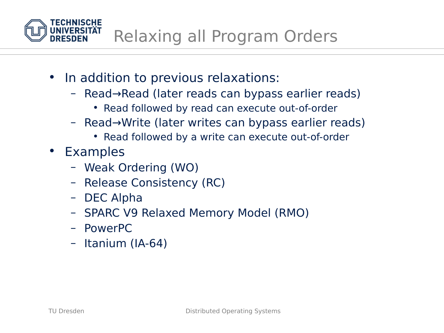Relaxing all Program Orders

- In addition to previous relaxations:
	- Read→Read (later reads can bypass earlier reads)
		- Read followed by read can execute out-of-order
	- Read→Write (later writes can bypass earlier reads)
		- Read followed by a write can execute out-of-order
- Examples
	- Weak Ordering (WO)
	- Release Consistency (RC)
	- DEC Alpha
	- SPARC V9 Relaxed Memory Model (RMO)
	- PowerPC
	- Itanium (IA-64)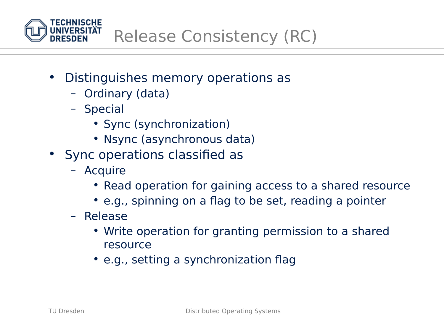

- Distinguishes memory operations as
	- Ordinary (data)
	- Special
		- Sync (synchronization)
		- Nsync (asynchronous data)
- Sync operations classified as
	- Acquire
		- Read operation for gaining access to a shared resource
		- e.g., spinning on a flag to be set, reading a pointer
	- Release
		- Write operation for granting permission to a shared resource
		- e.g., setting a synchronization flag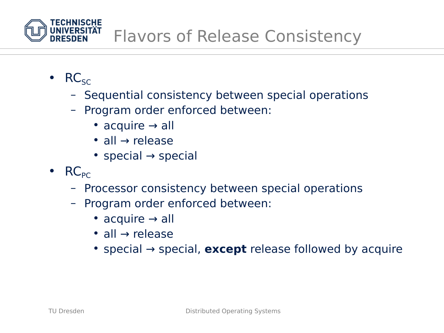

- $\cdot$  RC<sub>SC</sub>
	- Sequential consistency between special operations
	- Program order enforced between:
		- acquire  $\rightarrow$  all
		- all  $\rightarrow$  release
		- special  $\rightarrow$  special
- $RC_{PC}$ 
	- Processor consistency between special operations
	- Program order enforced between:
		- acquire  $\rightarrow$  all
		- all → release
		- special → special, **except** release followed by acquire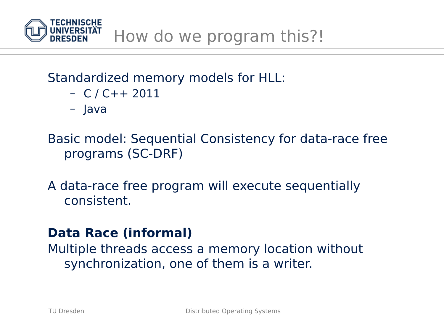

## Standardized memory models for HLL:

- C / C++ 2011
- Java

Basic model: Sequential Consistency for data-race free programs (SC-DRF)

A data-race free program will execute sequentially consistent.

## **Data Race (informal)**

Multiple threads access a memory location without synchronization, one of them is a writer.